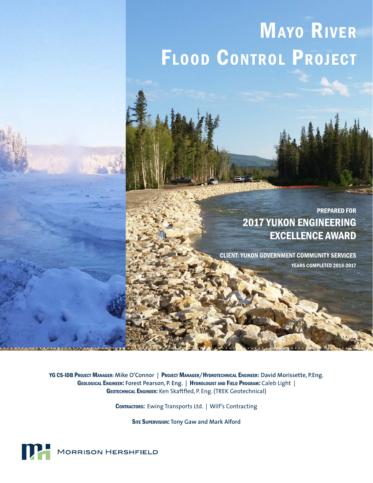# **MAYO RIVER** Flood Control Project

#### PREPARED FOR 2017 YUKON ENGINEERING EXCELLENCE AWARD

CLIENT: YUKON GOVERNMENT COMMUNITY SERVICES YEARS COMPLETED 2014-2017

YG CS-IDB Project Manager**: Mike O'Connor |** Project Manager/Hydrotechnical Engineer**: David Morissette, P.Eng.**  Geological Engineer: **Forest Pearson, P. Eng. |** Hydrologist and Field Program: Caleb Light | Geotechnical Engineer: Ken Skaftfled, P. Eng. (TREK Geotechnical)

CONTRACTORS: Ewing Transports Ltd. | Wilf's Contracting

Site Supervision: **Tony Gaw and Mark Alford**

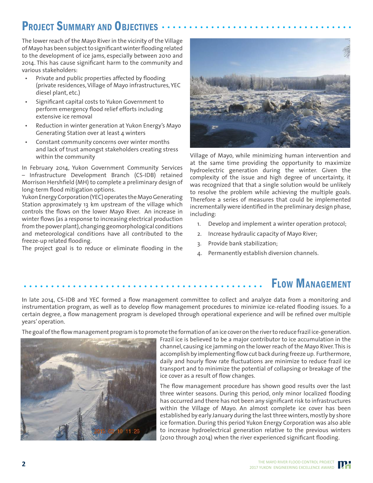## PROJECT SUMMARY AND OBJECTIVES

The lower reach of the Mayo River in the vicinity of the Village of Mayo has been subject to significant winter flooding related to the development of ice jams, especially between 2010 and 2014. This has cause significant harm to the community and various stakeholders:

- Private and public properties affected by flooding (private residences, Village of Mayo infrastructures, YEC diesel plant, etc.)
- Significant capital costs to Yukon Government to perform emergency flood relief efforts including extensive ice removal
- Reduction in winter generation at Yukon Energy's Mayo Generating Station over at least 4 winters
- Constant community concerns over winter months and lack of trust amongst stakeholders creating stress within the community

In February 2014, Yukon Government Community Services – Infrastructure Development Branch (CS-IDB) retained Morrison Hershfield (MH) to complete a preliminary design of long-term flood mitigation options.

Yukon Energy Corporation (YEC) operates the Mayo Generating Station approximately 13 km upstream of the village which controls the flows on the lower Mayo River. An increase in winter flows (as a response to increasing electrical production from the power plant), changing geomorphological conditions and meteorological conditions have all contributed to the freeze-up related flooding.

The project goal is to reduce or eliminate flooding in the



Village of Mayo, while minimizing human intervention and at the same time providing the opportunity to maximize hydroelectric generation during the winter. Given the complexity of the issue and high degree of uncertainty, it was recognized that that a single solution would be unlikely to resolve the problem while achieving the multiple goals. Therefore a series of measures that could be implemented incrementally were identified in the preliminary design phase, including:

- 1. Develop and implement a winter operation protocol;
- 2. Increase hydraulic capacity of Mayo River;
- 3. Provide bank stabilization;
- 4. Permanently establish diversion channels.

## Flow Management

In late 2014, CS-IDB and YEC formed a flow management committee to collect and analyze data from a monitoring and instrumentation program, as well as to develop flow management procedures to minimize ice-related flooding issues. To a certain degree, a flow management program is developed through operational experience and will be refined over multiple years' operation.

The goal of the flow management program is to promote the formation of an ice cover on the river to reduce frazil ice-generation.



Frazil ice is believed to be a major contributor to ice accumulation in the channel, causing ice jamming on the lower reach of the Mayo River. This is accomplish by implementing flow cut back during freeze up. Furthermore, daily and hourly flow rate fluctuations are minimize to reduce frazil ice transport and to minimize the potential of collapsing or breakage of the ice cover as a result of flow changes.

The flow management procedure has shown good results over the last three winter seasons. During this period, only minor localized flooding has occurred and there has not been any significant risk to infrastructures within the Village of Mayo. An almost complete ice cover has been established by early January during the last three winters, mostly by shore ice formation. During this period Yukon Energy Corporation was also able to increase hydroelectrical generation relative to the previous winters (2010 through 2014) when the river experienced significant flooding.